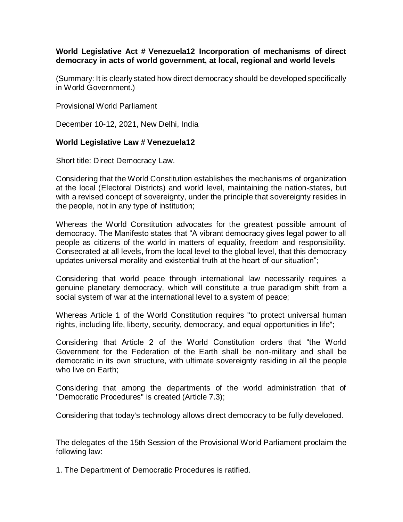## **World Legislative Act # Venezuela12 Incorporation of mechanisms of direct democracy in acts of world government, at local, regional and world levels**

(Summary: It is clearly stated how direct democracy should be developed specifically in World Government.)

Provisional World Parliament

December 10-12, 2021, New Delhi, India

## **World Legislative Law # Venezuela12**

Short title: Direct Democracy Law.

Considering that the World Constitution establishes the mechanisms of organization at the local (Electoral Districts) and world level, maintaining the nation-states, but with a revised concept of sovereignty, under the principle that sovereignty resides in the people, not in any type of institution;

Whereas the World Constitution advocates for the greatest possible amount of democracy. The Manifesto states that "A vibrant democracy gives legal power to all people as citizens of the world in matters of equality, freedom and responsibility. Consecrated at all levels, from the local level to the global level, that this democracy updates universal morality and existential truth at the heart of our situation";

Considering that world peace through international law necessarily requires a genuine planetary democracy, which will constitute a true paradigm shift from a social system of war at the international level to a system of peace;

Whereas Article 1 of the World Constitution requires "to protect universal human rights, including life, liberty, security, democracy, and equal opportunities in life";

Considering that Article 2 of the World Constitution orders that "the World Government for the Federation of the Earth shall be non-military and shall be democratic in its own structure, with ultimate sovereignty residing in all the people who live on Earth;

Considering that among the departments of the world administration that of "Democratic Procedures" is created (Article 7.3);

Considering that today's technology allows direct democracy to be fully developed.

The delegates of the 15th Session of the Provisional World Parliament proclaim the following law:

1. The Department of Democratic Procedures is ratified.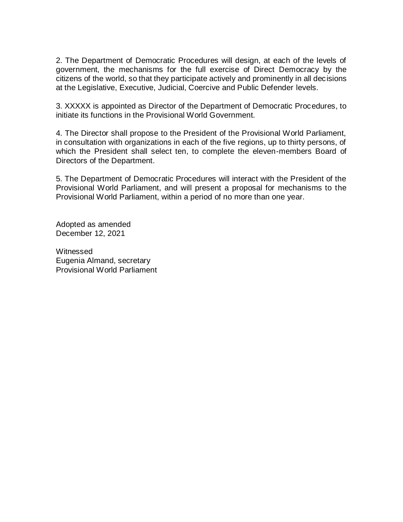2. The Department of Democratic Procedures will design, at each of the levels of government, the mechanisms for the full exercise of Direct Democracy by the citizens of the world, so that they participate actively and prominently in all decisions at the Legislative, Executive, Judicial, Coercive and Public Defender levels.

3. XXXXX is appointed as Director of the Department of Democratic Procedures, to initiate its functions in the Provisional World Government.

4. The Director shall propose to the President of the Provisional World Parliament, in consultation with organizations in each of the five regions, up to thirty persons, of which the President shall select ten, to complete the eleven-members Board of Directors of the Department.

5. The Department of Democratic Procedures will interact with the President of the Provisional World Parliament, and will present a proposal for mechanisms to the Provisional World Parliament, within a period of no more than one year.

Adopted as amended December 12, 2021

**Witnessed** Eugenia Almand, secretary Provisional World Parliament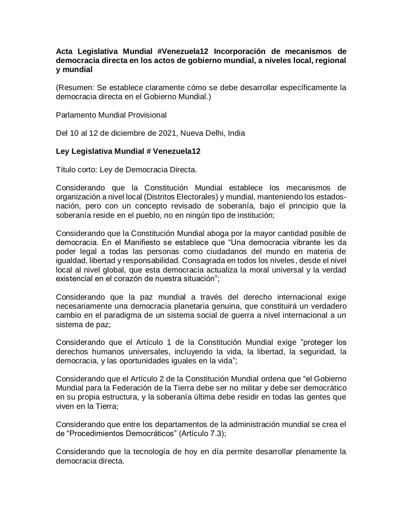## **Acta Legislativa Mundial #Venezuela12 Incorporación de mecanismos de democracia directa en los actos de gobierno mundial, a niveles local, regional y mundial**

(Resumen: Se establece claramente cómo se debe desarrollar específicamente la democracia directa en el Gobierno Mundial.)

Parlamento Mundial Provisional

Del 10 al 12 de diciembre de 2021, Nueva Delhi, India

## **Ley Legislativa Mundial # Venezuela12**

Título corto: Ley de Democracia Directa.

Considerando que la Constitución Mundial establece los mecanismos de organización a nivel local (Distritos Electorales) y mundial, manteniendo los estadosnación, pero con un concepto revisado de soberanía, bajo el principio que la soberanía reside en el pueblo, no en ningún tipo de institución;

Considerando que la Constitución Mundial aboga por la mayor cantidad posible de democracia. En el Manifiesto se establece que "Una democracia vibrante les da poder legal a todas las personas como ciudadanos del mundo en materia de igualdad, libertad y responsabilidad. Consagrada en todos los niveles, desde el nivel local al nivel global, que esta democracia actualiza la moral universal y la verdad existencial en el corazón de nuestra situación";

Considerando que la paz mundial a través del derecho internacional exige necesariamente una democracia planetaria genuina, que constituirá un verdadero cambio en el paradigma de un sistema social de guerra a nivel internacional a un sistema de paz;

Considerando que el Artículo 1 de la Constitución Mundial exige "proteger los derechos humanos universales, incluyendo la vida, la libertad, la seguridad, la democracia, y las oportunidades iguales en la vida";

Considerando que el Artículo 2 de la Constitución Mundial ordena que "el Gobierno Mundial para la Federación de la Tierra debe ser no militar y debe ser democrático en su propia estructura, y la soberanía última debe residir en todas las gentes que viven en la Tierra;

Considerando que entre los departamentos de la administración mundial se crea el de "Procedimientos Democráticos" (Artículo 7.3);

Considerando que la tecnología de hoy en día permite desarrollar plenamente la democracia directa.